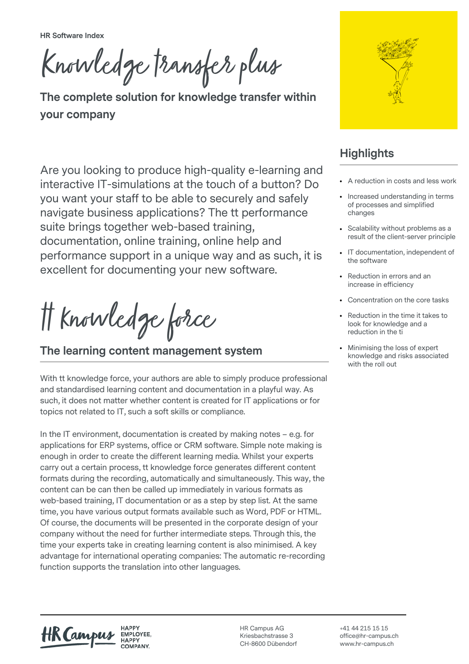**HR Software Index**

Knowledge transfer plus

**The complete solution for knowledge transfer within your company**

Are you looking to produce high-quality e-learning and interactive IT-simulations at the touch of a button? Do you want your staff to be able to securely and safely navigate business applications? The tt performance suite brings together web-based training, documentation, online training, online help and performance support in a unique way and as such, it is excellent for documenting your new software.

tt knowledge force

**The learning content management system**

With tt knowledge force, your authors are able to simply produce professional and standardised learning content and documentation in a playful way. As such, it does not matter whether content is created for IT applications or for topics not related to IT, such a soft skills or compliance.

In the IT environment, documentation is created by making notes – e.g. for applications for ERP systems, office or CRM software. Simple note making is enough in order to create the different learning media. Whilst your experts carry out a certain process, tt knowledge force generates different content formats during the recording, automatically and simultaneously. This way, the content can be can then be called up immediately in various formats as web-based training, IT documentation or as a step by step list. At the same time, you have various output formats available such as Word, PDF or HTML. Of course, the documents will be presented in the corporate design of your company without the need for further intermediate steps. Through this, the time your experts take in creating learning content is also minimised. A key advantage for international operating companies: The automatic re-recording function supports the translation into other languages.



## **Highlights**

- A reduction in costs and less work
- Increased understanding in terms of processes and simplified changes
- Scalability without problems as a result of the client-server principle
- IT documentation, independent of the software
- Reduction in errors and an increase in efficiency
- Concentration on the core tasks
- Reduction in the time it takes to look for knowledge and a reduction in the ti
- Minimising the loss of expert knowledge and risks associated with the roll out

HK Campi

**HAPPY** EMPLOYEE. **HAPPY** 

HR Campus AG Kriesbachstrasse 3 CH-8600 Dübendorf

+41 44 215 15 15 office@hr-campus.ch www.hr-campus.ch